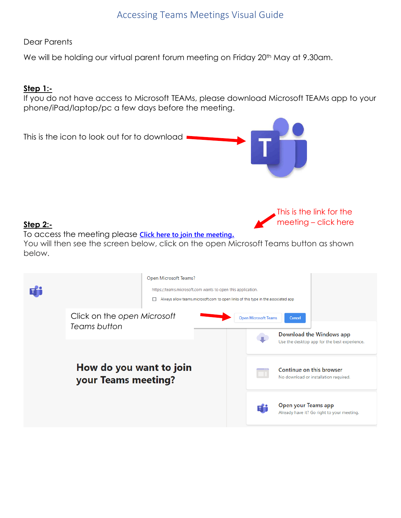# Accessing Teams Meetings Visual Guide

Dear Parents

We will be holding our virtual parent forum meeting on Friday 20<sup>th</sup> May at 9.30am.

## **Step 1:-**

If you do not have access to Microsoft TEAMs, please download Microsoft TEAMs app to your phone/iPad/laptop/pc a few days before the meeting.



#### **Step 2:-**

To access the meeting please **[Click here to join the meeting](https://teams.microsoft.com/l/meetup-join/19%3ameeting_MDIyZGU3M2UtNTc5NC00ZWMyLTgxYzUtNDE2NmVkNTc1ZDJj%40thread.v2/0?context=%7b%22Tid%22%3a%222ddb4d86-f374-4f1c-bbcd-5d1658dd3ac0%22%2c%22Oid%22%3a%223efbd69e-6596-4a0a-92af-846660ec7f7b%22%7d)[.](https://teams.microsoft.com/l/meetup-join/19%3ameeting_MDIyZGU3M2UtNTc5NC00ZWMyLTgxYzUtNDE2NmVkNTc1ZDJj%40thread.v2/0?context=%7b%22Tid%22%3a%222ddb4d86-f374-4f1c-bbcd-5d1658dd3ac0%22%2c%22Oid%22%3a%223efbd69e-6596-4a0a-92af-846660ec7f7b%22%7d)** 

You will then see the screen below, click on the open Microsoft Teams button as shown below.

This is the link for the meeting – click here

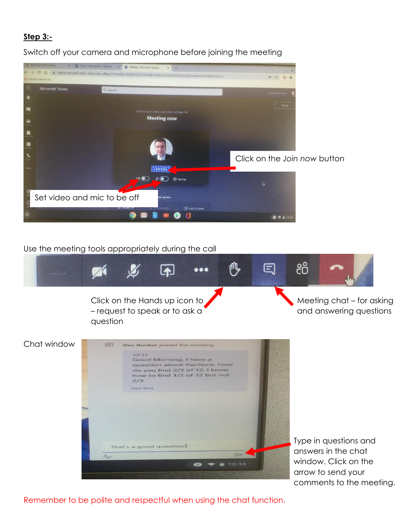# **Step 3:-**



Switch off your camera and microphone before joining the meeting

## Use the meeting tools appropriately during the call



Remember to be polite and respectful when using the chat function.